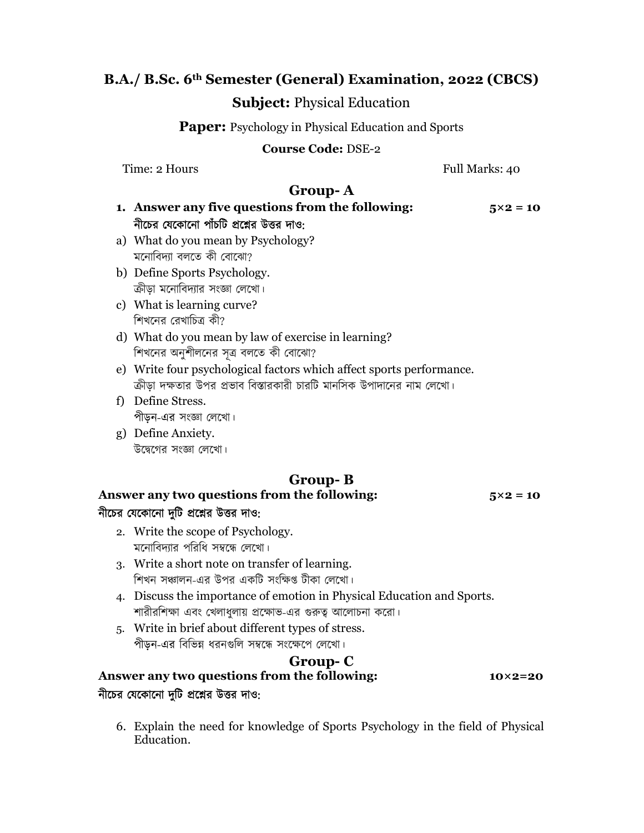#### B.A./ B.Sc. 6th Semester (General) Examination, 2022 (CBCS)

#### Subject: Physical Education

**Paper:** Psychology in Physical Education and Sports

#### Course Code: DSE-2

Time: 2 Hours Full Marks: 40

## Group- A

- 1. Answer any five questions from the following:  $5\times2 = 10$ নীচের যেকোনো পাঁচটি প্রশ্নের উত্তর দাও:
- a) What do you mean by Psychology? মনোবিদ্যা বলতে কী বোঝো?
- b) Define Sports Psychology. ক্রীড়া মনোবিদ্যার সংজ্ঞা লেখো।
- c) What is learning curve? শিখনের বেখাচিত্র কী?
- d) What do you mean by law of exercise in learning? শিখনের অনুশীলনের সূত্র বলতে কী বোঝো?
- e) Write four psychological factors which affect sports performance. ক্রীডা দক্ষতার উপর প্রভাব বিস্তারকারী চারটি মানসিক উপাদানের নাম লেখো।
- f) Define Stress. পীড়ন-এর সংজ্ঞা লেখো।
- g) Define Anxiety. উদ্বেগের সংজ্ঞা লেখাে।

# Group- B

Answer any two questions from the following:  $5\times2 = 10$ নীচের যেকোনো দুটি প্রশ্নের উত্তর দাও:

2. Write the scope of Psychology. মনোবিদ্যার পরিধি সম্বন্ধে লেখো।

- 3. Write a short note on transfer of learning. শিখন সঞ্চালন-এর উপর একটি সংক্ষিপ্ত টীকা লেখাে।
- 4. Discuss the importance of emotion in Physical Education and Sports. শারীরশিক্ষা এবং খেলাধুলায় প্রক্ষোভ-এর গুরুত্ব আলোচনা করো।
- 5. Write in brief about different types of stress. পীড়ন-এর বিভিন্ন ধরনগুলি সম্বন্ধে সংক্ষেপে লেখা।

## Group- C

#### Answer any two questions from the following: 10×2=20 নীচের যেকোনো দুটি প্রশ্নের উত্তর দাও:

6. Explain the need for knowledge of Sports Psychology in the field of Physical Education.